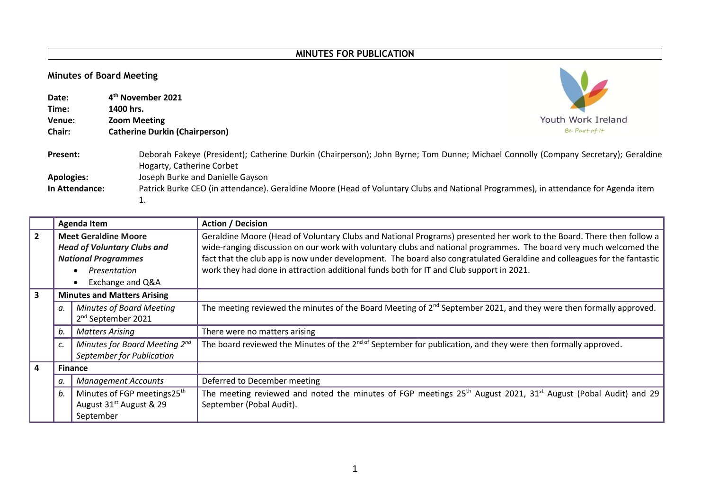## **MINUTES FOR PUBLICATION**

## **Minutes of Board Meeting**

| <b>Minutes of Board Meeting</b> |                                                                                                                                                                 |                    |  |  |  |  |  |  |  |
|---------------------------------|-----------------------------------------------------------------------------------------------------------------------------------------------------------------|--------------------|--|--|--|--|--|--|--|
| Date:<br>Time:                  | 4 <sup>th</sup> November 2021<br>1400 hrs.                                                                                                                      |                    |  |  |  |  |  |  |  |
| Venue:                          | <b>Zoom Meeting</b>                                                                                                                                             | Youth Work Ireland |  |  |  |  |  |  |  |
| Chair:                          | <b>Catherine Durkin (Chairperson)</b>                                                                                                                           | Be Part of It      |  |  |  |  |  |  |  |
| <b>Present:</b>                 | Deborah Fakeye (President); Catherine Durkin (Chairperson); John Byrne; Tom Dunne; Michael Connolly (Company Secretary); Geraldine<br>Hogarty, Catherine Corbet |                    |  |  |  |  |  |  |  |
| <b>Apologies:</b>               | Joseph Burke and Danielle Gayson                                                                                                                                |                    |  |  |  |  |  |  |  |
| In Attendance:                  | Patrick Burke CEO (in attendance). Geraldine Moore (Head of Voluntary Clubs and National Programmes), in attendance for Agenda item                             |                    |  |  |  |  |  |  |  |
|                                 | i.                                                                                                                                                              |                    |  |  |  |  |  |  |  |

|           |                                                                                                   | <b>Agenda Item</b>                                         | <b>Action / Decision</b>                                                                                                                                          |  |  |  |  |  |  |  |  |
|-----------|---------------------------------------------------------------------------------------------------|------------------------------------------------------------|-------------------------------------------------------------------------------------------------------------------------------------------------------------------|--|--|--|--|--|--|--|--|
| l 2.      | <b>Meet Geraldine Moore</b>                                                                       |                                                            | Geraldine Moore (Head of Voluntary Clubs and National Programs) presented her work to the Board. There then follow a                                              |  |  |  |  |  |  |  |  |
|           |                                                                                                   | <b>Head of Voluntary Clubs and</b>                         | wide-ranging discussion on our work with voluntary clubs and national programmes. The board very much welcomed the                                                |  |  |  |  |  |  |  |  |
|           |                                                                                                   | <b>National Programmes</b>                                 | fact that the club app is now under development. The board also congratulated Geraldine and colleagues for the fantastic                                          |  |  |  |  |  |  |  |  |
|           |                                                                                                   | Presentation<br>$\bullet$                                  | work they had done in attraction additional funds both for IT and Club support in 2021.                                                                           |  |  |  |  |  |  |  |  |
|           |                                                                                                   | Exchange and Q&A<br>$\bullet$                              |                                                                                                                                                                   |  |  |  |  |  |  |  |  |
| 3         |                                                                                                   | <b>Minutes and Matters Arising</b>                         |                                                                                                                                                                   |  |  |  |  |  |  |  |  |
|           | а.                                                                                                | Minutes of Board Meeting<br>2 <sup>nd</sup> September 2021 | The meeting reviewed the minutes of the Board Meeting of $2^{nd}$ September 2021, and they were then formally approved.                                           |  |  |  |  |  |  |  |  |
|           | b.                                                                                                | <b>Matters Arising</b>                                     | There were no matters arising                                                                                                                                     |  |  |  |  |  |  |  |  |
|           | c.                                                                                                | Minutes for Board Meeting 2nd<br>September for Publication | The board reviewed the Minutes of the 2 <sup>nd of</sup> September for publication, and they were then formally approved.                                         |  |  |  |  |  |  |  |  |
| $\vert$ 4 | <b>Finance</b>                                                                                    |                                                            |                                                                                                                                                                   |  |  |  |  |  |  |  |  |
|           | <b>Management Accounts</b><br>а.                                                                  |                                                            | Deferred to December meeting                                                                                                                                      |  |  |  |  |  |  |  |  |
|           | Minutes of FGP meetings25 <sup>th</sup><br>b.<br>August 31 <sup>st</sup> August & 29<br>September |                                                            | The meeting reviewed and noted the minutes of FGP meetings 25 <sup>th</sup> August 2021, 31 <sup>st</sup> August (Pobal Audit) and 29<br>September (Pobal Audit). |  |  |  |  |  |  |  |  |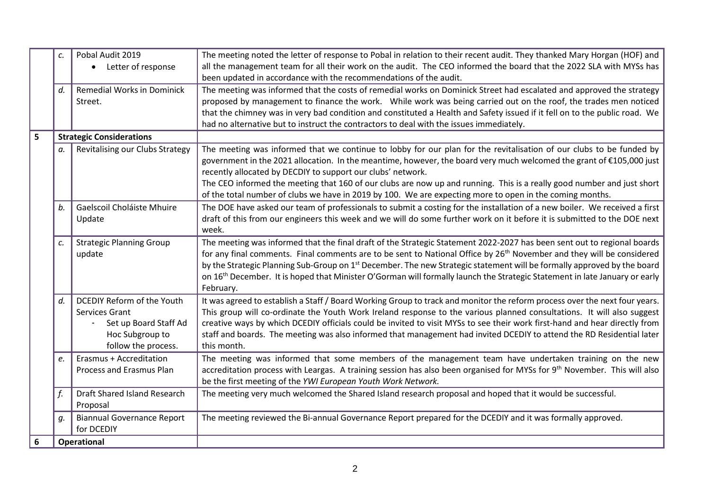|                  | c. | Pobal Audit 2019<br>• Letter of response                                                                        | The meeting noted the letter of response to Pobal in relation to their recent audit. They thanked Mary Horgan (HOF) and<br>all the management team for all their work on the audit. The CEO informed the board that the 2022 SLA with MYSs has<br>been updated in accordance with the recommendations of the audit.                                                                                                                                                                                                                                        |  |  |  |  |  |  |
|------------------|----|-----------------------------------------------------------------------------------------------------------------|------------------------------------------------------------------------------------------------------------------------------------------------------------------------------------------------------------------------------------------------------------------------------------------------------------------------------------------------------------------------------------------------------------------------------------------------------------------------------------------------------------------------------------------------------------|--|--|--|--|--|--|
|                  | d. | <b>Remedial Works in Dominick</b><br>Street.                                                                    | The meeting was informed that the costs of remedial works on Dominick Street had escalated and approved the strategy<br>proposed by management to finance the work. While work was being carried out on the roof, the trades men noticed<br>that the chimney was in very bad condition and constituted a Health and Safety issued if it fell on to the public road. We<br>had no alternative but to instruct the contractors to deal with the issues immediately.                                                                                          |  |  |  |  |  |  |
| 5                |    | <b>Strategic Considerations</b>                                                                                 |                                                                                                                                                                                                                                                                                                                                                                                                                                                                                                                                                            |  |  |  |  |  |  |
|                  | а. | Revitalising our Clubs Strategy                                                                                 | The meeting was informed that we continue to lobby for our plan for the revitalisation of our clubs to be funded by<br>government in the 2021 allocation. In the meantime, however, the board very much welcomed the grant of €105,000 just<br>recently allocated by DECDIY to support our clubs' network.<br>The CEO informed the meeting that 160 of our clubs are now up and running. This is a really good number and just short<br>of the total number of clubs we have in 2019 by 100. We are expecting more to open in the coming months.           |  |  |  |  |  |  |
|                  | b. | Gaelscoil Choláiste Mhuire<br>Update                                                                            | The DOE have asked our team of professionals to submit a costing for the installation of a new boiler. We received a first<br>draft of this from our engineers this week and we will do some further work on it before it is submitted to the DOE next<br>week.                                                                                                                                                                                                                                                                                            |  |  |  |  |  |  |
|                  | c. | <b>Strategic Planning Group</b><br>update                                                                       | The meeting was informed that the final draft of the Strategic Statement 2022-2027 has been sent out to regional boards<br>for any final comments. Final comments are to be sent to National Office by 26 <sup>th</sup> November and they will be considered<br>by the Strategic Planning Sub-Group on 1 <sup>st</sup> December. The new Strategic statement will be formally approved by the board<br>on 16 <sup>th</sup> December. It is hoped that Minister O'Gorman will formally launch the Strategic Statement in late January or early<br>February. |  |  |  |  |  |  |
|                  | d. | DCEDIY Reform of the Youth<br>Services Grant<br>Set up Board Staff Ad<br>Hoc Subgroup to<br>follow the process. | It was agreed to establish a Staff / Board Working Group to track and monitor the reform process over the next four years.<br>This group will co-ordinate the Youth Work Ireland response to the various planned consultations. It will also suggest<br>creative ways by which DCEDIY officials could be invited to visit MYSs to see their work first-hand and hear directly from<br>staff and boards. The meeting was also informed that management had invited DCEDIY to attend the RD Residential later<br>this month.                                 |  |  |  |  |  |  |
|                  | e. | Erasmus + Accreditation<br>Process and Erasmus Plan                                                             | The meeting was informed that some members of the management team have undertaken training on the new<br>accreditation process with Leargas. A training session has also been organised for MYSs for 9 <sup>th</sup> November. This will also<br>be the first meeting of the YWI European Youth Work Network.                                                                                                                                                                                                                                              |  |  |  |  |  |  |
|                  | f. | Draft Shared Island Research<br>Proposal                                                                        | The meeting very much welcomed the Shared Island research proposal and hoped that it would be successful.                                                                                                                                                                                                                                                                                                                                                                                                                                                  |  |  |  |  |  |  |
|                  | q. | <b>Biannual Governance Report</b><br>for DCEDIY                                                                 | The meeting reviewed the Bi-annual Governance Report prepared for the DCEDIY and it was formally approved.                                                                                                                                                                                                                                                                                                                                                                                                                                                 |  |  |  |  |  |  |
| $\boldsymbol{6}$ |    | <b>Operational</b>                                                                                              |                                                                                                                                                                                                                                                                                                                                                                                                                                                                                                                                                            |  |  |  |  |  |  |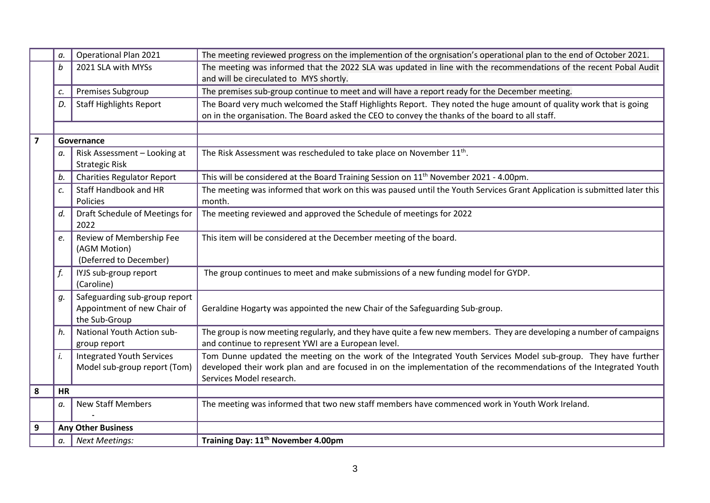|                         | α.        | <b>Operational Plan 2021</b>                                                  | The meeting reviewed progress on the implemention of the orgnisation's operational plan to the end of October 2021.                                                                                                                                            |  |  |  |  |  |  |  |  |
|-------------------------|-----------|-------------------------------------------------------------------------------|----------------------------------------------------------------------------------------------------------------------------------------------------------------------------------------------------------------------------------------------------------------|--|--|--|--|--|--|--|--|
|                         | b         | 2021 SLA with MYSs                                                            | The meeting was informed that the 2022 SLA was updated in line with the recommendations of the recent Pobal Audit<br>and will be cireculated to MYS shortly.                                                                                                   |  |  |  |  |  |  |  |  |
|                         | c.        | Premises Subgroup                                                             | The premises sub-group continue to meet and will have a report ready for the December meeting.                                                                                                                                                                 |  |  |  |  |  |  |  |  |
|                         | D.        | <b>Staff Highlights Report</b>                                                | The Board very much welcomed the Staff Highlights Report. They noted the huge amount of quality work that is going                                                                                                                                             |  |  |  |  |  |  |  |  |
|                         |           |                                                                               | on in the organisation. The Board asked the CEO to convey the thanks of the board to all staff.                                                                                                                                                                |  |  |  |  |  |  |  |  |
|                         |           |                                                                               |                                                                                                                                                                                                                                                                |  |  |  |  |  |  |  |  |
| $\overline{\mathbf{z}}$ |           | Governance                                                                    |                                                                                                                                                                                                                                                                |  |  |  |  |  |  |  |  |
|                         | а.        | Risk Assessment - Looking at<br><b>Strategic Risk</b>                         | The Risk Assessment was rescheduled to take place on November 11 <sup>th</sup> .                                                                                                                                                                               |  |  |  |  |  |  |  |  |
|                         | b.        | <b>Charities Regulator Report</b>                                             | This will be considered at the Board Training Session on 11 <sup>th</sup> November 2021 - 4.00pm.                                                                                                                                                              |  |  |  |  |  |  |  |  |
|                         | c.        | Staff Handbook and HR<br><b>Policies</b>                                      | The meeting was informed that work on this was paused until the Youth Services Grant Application is submitted later this<br>month.                                                                                                                             |  |  |  |  |  |  |  |  |
|                         | d.        | Draft Schedule of Meetings for<br>2022                                        | The meeting reviewed and approved the Schedule of meetings for 2022                                                                                                                                                                                            |  |  |  |  |  |  |  |  |
|                         | e.        | Review of Membership Fee<br>(AGM Motion)<br>(Deferred to December)            | This item will be considered at the December meeting of the board.                                                                                                                                                                                             |  |  |  |  |  |  |  |  |
|                         |           | IYJS sub-group report<br>(Caroline)                                           | The group continues to meet and make submissions of a new funding model for GYDP.                                                                                                                                                                              |  |  |  |  |  |  |  |  |
|                         | g.        | Safeguarding sub-group report<br>Appointment of new Chair of<br>the Sub-Group | Geraldine Hogarty was appointed the new Chair of the Safeguarding Sub-group.                                                                                                                                                                                   |  |  |  |  |  |  |  |  |
|                         | h.        | National Youth Action sub-<br>group report                                    | The group is now meeting regularly, and they have quite a few new members. They are developing a number of campaigns<br>and continue to represent YWI are a European level.                                                                                    |  |  |  |  |  |  |  |  |
|                         | i.        | <b>Integrated Youth Services</b><br>Model sub-group report (Tom)              | Tom Dunne updated the meeting on the work of the Integrated Youth Services Model sub-group. They have further<br>developed their work plan and are focused in on the implementation of the recommendations of the Integrated Youth<br>Services Model research. |  |  |  |  |  |  |  |  |
| 8                       | <b>HR</b> |                                                                               |                                                                                                                                                                                                                                                                |  |  |  |  |  |  |  |  |
|                         | a.        | <b>New Staff Members</b>                                                      | The meeting was informed that two new staff members have commenced work in Youth Work Ireland.                                                                                                                                                                 |  |  |  |  |  |  |  |  |
| 9                       |           | <b>Any Other Business</b>                                                     |                                                                                                                                                                                                                                                                |  |  |  |  |  |  |  |  |
|                         | а.        | <b>Next Meetings:</b>                                                         | Training Day: 11 <sup>th</sup> November 4.00pm                                                                                                                                                                                                                 |  |  |  |  |  |  |  |  |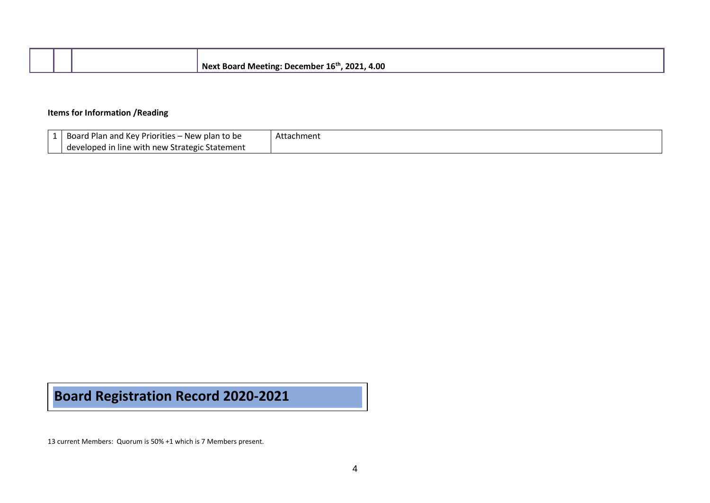|  | Next Board Meeting: December $16^{\text{th}}$ , 2021, 4.00 |
|--|------------------------------------------------------------|

## **Items for Information /Reading**

| Board Plan and Key Priorities - I<br>- New plan to be | Attachment |
|-------------------------------------------------------|------------|
| developed in line with new Strategic Statement        |            |

## **Board Registration Record 2020-2021**

13 current Members: Quorum is 50% +1 which is 7 Members present.